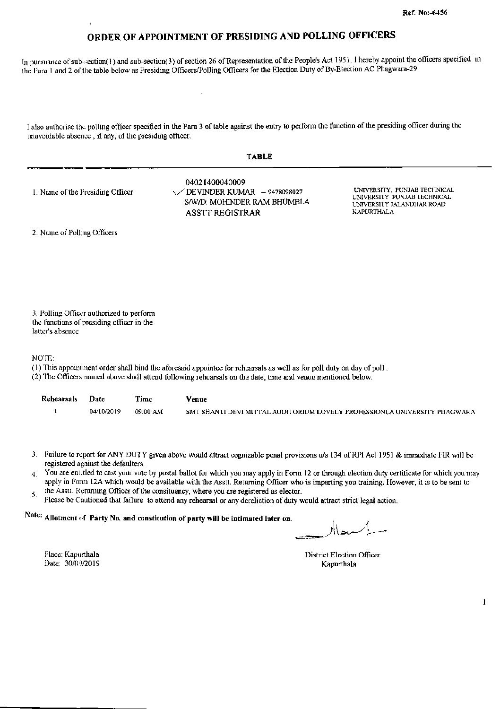In pursuance of sub-section(1) and sub-section(3) of section 26 of Representation of the People's Act 1951. I hereby appoint the officers specified in the Para 1 and 2 of the table below as Presiding Officers/Polling Officers for the Election Duty of By-Election AC Phagwara-29.

I also authorise the polling officer specified in the Para 3 of table against the entry to perform the function of the presiding officer during the unavoidable absence, if any, of the presiding officer.

| TABLE |  |
|-------|--|
|-------|--|

1. Name of the Presiding Officer

04021400040009 DEVINDER KUMAR  $-9478098027$ S/W/D: MOHINDER RAM BHUMBLA **ASSTT REGISTRAR** 

UNIVERSITY, PUNJAB TECHNICAL UNIVERSITY PUNJAB TECHNICAL UNIVERSITY JALANDHAR ROAD KAPURTHALA

2. Name of Polling Officers

3. Polling Officer authorized to perform the functions of presiding officer in the latter's absence

NOTE:

- (1) This appointment order shall bind the aforesaid appointee for rehearsals as well as for poll duty on day of poll.
- (2) The Officers named above shall attend following rehearsals on the date, time and venue mentioned below:

| Rehearsals Date |            | Time     | Venue                                                                     |
|-----------------|------------|----------|---------------------------------------------------------------------------|
|                 | 04/10/2019 | 09:00 AM | SMT SHANTI DEVI MITTAL AUDITORIUM LOVELY PROFESSIONLA UNIVERSITY PHAGWARA |

- 3. Failure to report for ANY DUTY given above would attract cognizable penal provisions u/s 134 of RPI Act 1951 & immediate FIR will be registered against the defaulters.
- You are entitled to cast your vote by postal ballot for which you may apply in Form 12 or through election duty certificate for which you may  $\mathbf{4}$ apply in Form 12A which would be available with the Asstt. Returning Officer who is imparting you training. However, it is to be sent to
- the Asstt. Returning Officer of the consituency, where you are registered as elector. 5.
- Please be Cautioned that failure to attend any rehearsal or any dereliction of duty would attract strict legal action.

## Note: Allotment of Party No. and constitution of party will be intimated later on.

سعاار

District Election Officer Kapurthala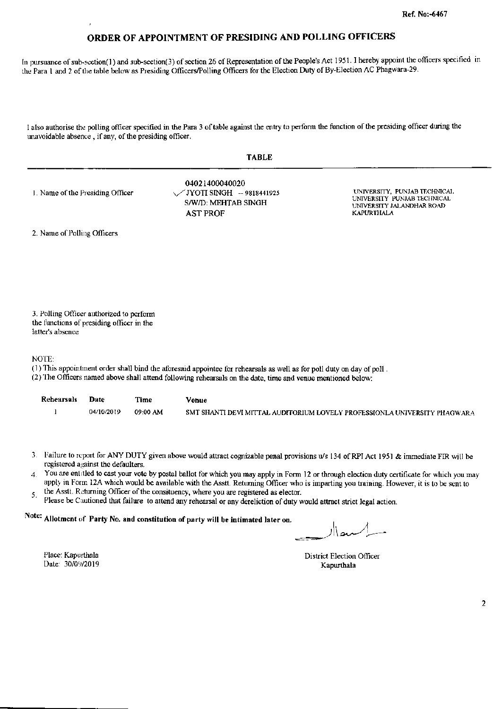In pursuance of sub-section(1) and sub-section(3) of section 26 of Representation of the People's Act 1951. I hereby appoint the officers specified in the Para 1 and 2 of the table below as Presiding Officers/Polling Officers for the Election Duty of By-Election AC Phagwara-29.

I also authorise the polling officer specified in the Para 3 of table against the entry to perform the function of the presiding officer during the unavoidable absence, if any, of the presiding officer.

|                                  | <b>TABLE</b>                                                                            |                                                                                                               |
|----------------------------------|-----------------------------------------------------------------------------------------|---------------------------------------------------------------------------------------------------------------|
| 1. Name of the Presiding Officer | 04021400040020<br>\/JYOTI SINGH -- 9818441925<br>S/W/D: MEHTAB SINGH<br><b>AST PROF</b> | UNIVERSITY, PUNJAB TECHNICAL<br>UNIVERSITY PUNJAB TECHNICAL<br>UNIVERSITY JALANDHAR ROAD<br><b>KAPURTHALA</b> |

2. Name of Polling Officers

3. Polling Officer authorized to perform the functions of presiding officer in the latter's absence

NOTE:

- (1) This appointment order shall bind the aforesaid appointee for rehearsals as well as for poll duty on day of poll.
- (2) The Officers named above shall attend following rehearsals on the date, time and venue mentioned below:

| Rehearsals | Date       | Time     | Venue                                                                     |
|------------|------------|----------|---------------------------------------------------------------------------|
|            | 04/10/2019 | 09:00 AM | SMT SHANTI DEVI MITTAL AUDITORIUM LOVELY PROFESSIONLA UNIVERSITY PHAGWARA |

- 3. Failure to report for ANY DUTY given above would attract cognizable penal provisions u/s 134 of RPI Act 1951 & immediate FIR will be registered against the defaulters.
- You are entitled to cast your vote by postal ballot for which you may apply in Form 12 or through election duty certificate for which you may  $\overline{4}$ apply in Form 12A which would be available with the Asstt. Returning Officer who is imparting you training. However, it is to be sent to
- the Asstt. Returning Officer of the consituency, where you are registered as elector.  $5.$
- Please be Cautioned that failure to attend any rehearsal or any dereliction of duty would attract strict legal action.

# Note: Allotment of Party No. and constitution of party will be intimated later on.

District Election Officer Kapurthala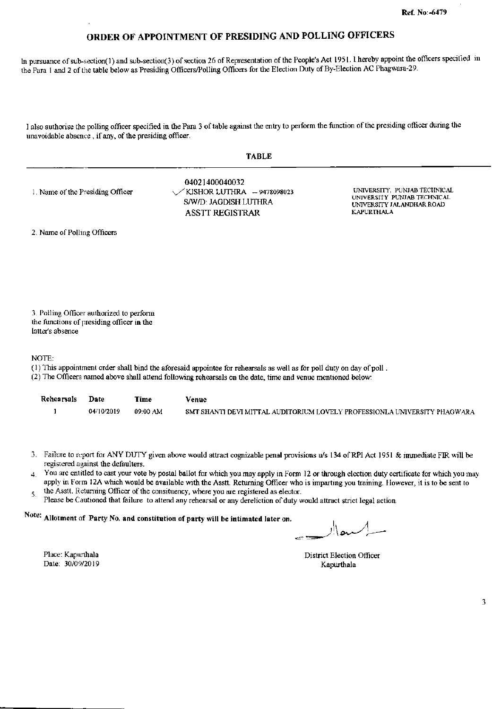In pursuance of sub-section(1) and sub-section(3) of section 26 of Representation of the People's Act 1951. I hereby appoint the officers specified in the Para 1 and 2 of the table below as Presiding Officers/Polling Officers for the Election Duty of By-Election AC Phagwara-29.

I also authorise the polling officer specified in the Para 3 of table against the entry to perform the function of the presiding officer during the unavoidable absence, if any, of the presiding officer.

|--|--|

| 1. Name of the Presiding Officer | 04021400040032<br>$\sqrt{K}$ KJSHOR LUTHRA - 9478098023<br>S/W/D: JAGDISH LUTHRA<br><b>ASSTT REGISTRAR</b> | UNIVERSITY, PUNJAB TECHNICAL<br>UNIVERSITY PUNJAB TECHNICAL<br>UNIVERSITY JALANDHAR ROAD<br>KAPURTHALA |
|----------------------------------|------------------------------------------------------------------------------------------------------------|--------------------------------------------------------------------------------------------------------|
|----------------------------------|------------------------------------------------------------------------------------------------------------|--------------------------------------------------------------------------------------------------------|

2. Name of Polling Officers

3. Polling Officer authorized to perform the functions of presiding officer in the latter's absence

NOTE:

- (1) This appointment order shall bind the aforesaid appointee for rehearsals as well as for poll duty on day of poll.
- (2) The Officers named above shall attend following rehearsals on the date, time and venue mentioned below:

| Rehearsals | Date       | Time     | Venue                                                                     |
|------------|------------|----------|---------------------------------------------------------------------------|
|            | 04/10/2019 | 09:00 AM | SMT SHANTI DEVI MITTAL AUDITORIUM LOVELY PROFESSIONLA UNIVERSITY PHAGWARA |

- 3. Failure to report for ANY DUTY given above would attract cognizable penal provisions u/s 134 of RPI Act 1951 & immediate FIR will be registered against the defaulters.
- You are entitled to cast your vote by postal ballot for which you may apply in Form 12 or through election duty certificate for which you may  $\overline{4}$ . apply in Form 12A which would be available with the Asstt. Returning Officer who is imparting you training. However, it is to be sent to
- the Asstt. Returning Officer of the consituency, where you are registered as elector. 5.
- Please be Cautioned that failure to attend any rehearsal or any dereliction of duty would attract strict legal action.

Note: Allotment of Party No. and constitution of party will be intimated later on.

ے \ار

Place: Kapurthala Date: 30/09/2019

District Election Officer Kapurthala

 $\overline{\mathbf{3}}$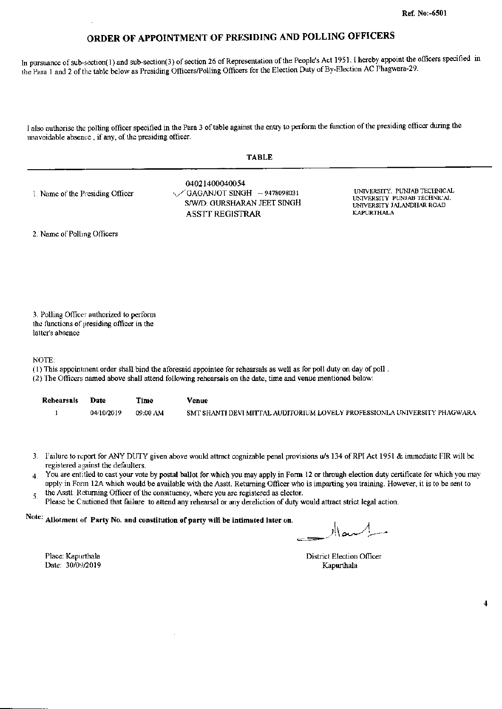In pursuance of sub-section(1) and sub-section(3) of section 26 of Representation of the People's Act 1951. I hereby appoint the officers specified in the Para 1 and 2 of the table below as Presiding Officers/Polling Officers for the Election Duty of By-Election AC Phagwara-29.

I also authorise the polling officer specified in the Para 3 of table against the entry to perform the function of the presiding officer during the unavoidable absence, if any, of the presiding officer.

| 1. Name of the Presiding Officer | 04021400040054<br>$\sqrt{G}$ AGANJOT SINGH - 9478098031<br>S/W/D: GURSHARAN JEET SINGH<br>ASSTT REGISTRAR | UNIVERSITY, PUNJAB TECHNICAL<br>UNIVERSITY PUNJAB TECHNICAL<br>UNIVERSITY JALANDHAR ROAD<br>KAPURTHALA |
|----------------------------------|-----------------------------------------------------------------------------------------------------------|--------------------------------------------------------------------------------------------------------|
|----------------------------------|-----------------------------------------------------------------------------------------------------------|--------------------------------------------------------------------------------------------------------|

2. Name of Polling Officers

3. Polling Officer authorized to perform the functions of presiding officer in the latter's absence

NOTE:

- (1) This appointment order shall bind the aforesaid appointee for rehearsals as well as for poll duty on day of poll.
- (2) The Officers named above shall attend following rehearsals on the date, time and venue mentioned below:

| <b>Rehearsals</b> | Date       | Time     | Venue                                                                     |
|-------------------|------------|----------|---------------------------------------------------------------------------|
|                   | 04/10/2019 | 09:00 AM | SMT SHANTI DEVI MITTAL AUDITORIUM LOVELY PROFESSIONLA UNIVERSITY PHAGWARA |

- 3. Failure to report for ANY DUTY given above would attract cognizable penal provisions u/s 134 of RPI Act 1951 & immediate FIR will be registered against the defaulters.
- 4. You are entitled to cast your vote by postal ballot for which you may apply in Form 12 or through election duty certificate for which you may apply in Form 12A which would be available with the Asstt. Returning Officer who is imparting you training. However, it is to be sent to
- the Asstt. Returning Officer of the consituency, where you are registered as elector. 5.
- Please be Cautioned that failure to attend any rehearsal or any dereliction of duty would attract strict legal action.

Note: Allotment of Party No. and constitution of party will be intimated later on.

م\ار

**District Election Officer** Kapurthala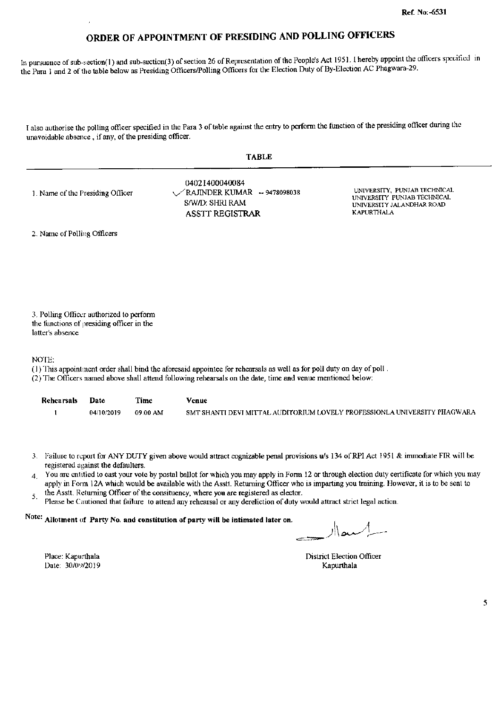In pursuance of sub-section(1) and sub-section(3) of section 26 of Representation of the People's Act 1951. I hereby appoint the officers specified in the Para 1 and 2 of the table below as Presiding Officers/Polling Officers for the Election Duty of By-Election AC Phagwara-29.

I also authorise the polling officer specified in the Para 3 of table against the entry to perform the function of the presiding officer during the unavoidable absence, if any, of the presiding officer.

**TABLE** 

2. Name of Polling Officers

3. Polling Officer authorized to perform the functions of presiding officer in the latter's absence

NOTE:

(1) This appointment order shall bind the aforesaid appointee for rehearsals as well as for poll duty on day of poll.

(2) The Officers named above shall attend following rehearsals on the date, time and venue mentioned below:

| <b>Rehearsals</b> | Date       | Time     | Venue                                                                     |
|-------------------|------------|----------|---------------------------------------------------------------------------|
|                   | 04/10/2019 | 09:00 AM | SMT SHANTI DEVI MITTAL AUDITORIUM LOVELY PROFESSIONLA UNIVERSITY PHAGWARA |

- 3. Failure to report for ANY DUTY given above would attract cognizable penal provisions u/s 134 of RPI Act 1951 & immediate FIR will be registered against the defaulters.
- 4. You are entitled to east your vote by postal ballot for which you may apply in Form 12 or through election duty certificate for which you may apply in Form 12A which would be available with the Asstt. Returning Officer who is imparting you training. However, it is to be sent to
- the Assit. Returning Officer of the consituency, where you are registered as elector. 5.
- Please be Cautioned that failure to attend any rehearsal or any dereliction of duty would attract strict legal action.

Note: Allotment of Party No. and constitution of party will be intimated later on.

سماار

**District Election Officer** Kapurthala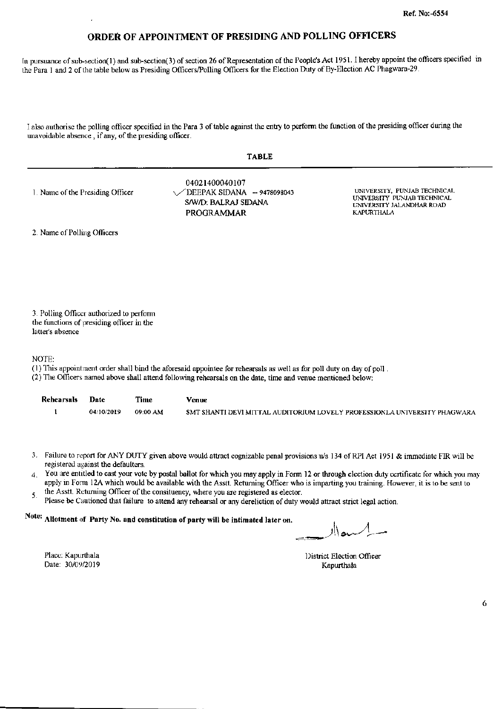In pursuance of sub-section(1) and sub-section(3) of section 26 of Representation of the People's Act 1951. I hereby appoint the officers specified in the Para 1 and 2 of the table below as Presiding Officers/Polling Officers for the Election Duty of By-Election AC Phagwara-29.

I also authorise the polling officer specified in the Para 3 of table against the entry to perform the function of the presiding officer during the unavoidable absence, if any, of the presiding officer.

| × |
|---|
|---|

| 1. Name of the Presiding Officer | 04021400040107<br>$\sqrt{\phantom{0}}$ DEEPAK SIDANA -- 9478098043<br>S/W/D: BALRAJ SIDANA<br>PROGRAMMAR | UNIVERSITY. PUNJAB TECHNICAL<br>UNIVERSITY PUNJAB TECHNICAL<br>UNIVERSITY JALANDHAR ROAD-<br>KAPURTHALA |
|----------------------------------|----------------------------------------------------------------------------------------------------------|---------------------------------------------------------------------------------------------------------|
|----------------------------------|----------------------------------------------------------------------------------------------------------|---------------------------------------------------------------------------------------------------------|

2. Name of Polling Officers

3. Polling Officer authorized to perform the functions of presiding officer in the latter's absence

NOTE:

- (1) This appointment order shall bind the aforesaid appointee for rehearsals as well as for poll duty on day of poll.
- (2) The Officers named above shall attend following rehearsals on the date, time and venue mentioned below:

| <b>Rehearsals</b> | Date       | Time     | Venue                                                                     |
|-------------------|------------|----------|---------------------------------------------------------------------------|
|                   | 04/10/2019 | 09:00 AM | SMT SHANTI DEVI MITTAL AUDITORIUM LOVELY PROFESSIONLA UNIVERSITY PHAGWARA |

- 3. Failure to report for ANY DUTY given above would attract cognizable penal provisions u/s 134 of RPI Act 1951 & immediate FIR will be registered against the defaulters.
- You are entitled to cast your vote by postal ballot for which you may apply in Form 12 or through election duty certificate for which you may  $\boldsymbol{4}$ . apply in Form 12A which would be available with the Asstt. Returning Officer who is imparting you training. However, it is to be sent to
- the Asstt. Returning Officer of the consituency, where you are registered as elector. 5.
- Please be Cautioned that failure to attend any rehearsal or any dereliction of duty would attract strict legal action.

# Note: Allotment of Party No. and constitution of party will be intimated later on.

ı۱

District Election Officer Kapurthala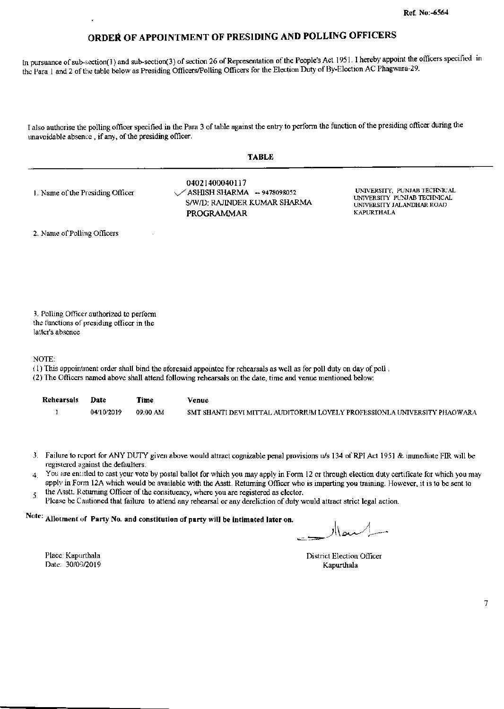In pursuance of sub-section(1) and sub-section(3) of section 26 of Representation of the People's Act 1951. I hereby appoint the officers specified in the Para 1 and 2 of the table below as Presiding Officers/Polling Officers for the Election Duty of By-Election AC Phagwara-29.

I also authorise the polling officer specified in the Para 3 of table against the entry to perform the function of the presiding officer during the unavoidable absence, if any, of the presiding officer.

| <b>TABLE</b>                     |                                                                                                            |                                                                                                               |  |  |
|----------------------------------|------------------------------------------------------------------------------------------------------------|---------------------------------------------------------------------------------------------------------------|--|--|
| 1. Name of the Presiding Officer | 04021400040117<br>$\sqrt{\text{ASHISH SHARMA}}$ - 9478098052<br>S/W/D: RAJINDER KUMAR SHARMA<br>PROGRAMMAR | UNIVERSITY. PUNJAB TECHNICAL<br>UNIVERSITY PUNJAB TECHNICAL<br>UNIVERSITY JALANDHAR ROAD<br><b>KAPURTHALA</b> |  |  |
| 2. Name of Polling Officers      |                                                                                                            |                                                                                                               |  |  |
|                                  |                                                                                                            |                                                                                                               |  |  |
|                                  |                                                                                                            |                                                                                                               |  |  |
|                                  |                                                                                                            |                                                                                                               |  |  |

3. Polling Officer authorized to perform the functions of presiding officer in the latter's absence

NOTE:

- (1) This appointment order shall bind the aforesaid appointee for rehearsals as well as for poll duty on day of poll.
- (2) The Officers named above shall attend following rehearsals on the date, time and venue mentioned below:

| Rehearsals Date |            | Time     | Venue                                                                     |
|-----------------|------------|----------|---------------------------------------------------------------------------|
|                 | 04/10/2019 | 09:00 AM | SMT SHANTI DEVI MITTAL AUDITORIUM LOVELY PROFESSIONLA UNIVERSITY PHAGWARA |

- 3. Failure to report for ANY DUTY given above would attract cognizable penal provisions u/s 134 of RPI Act 1951 & immediate FIR will be registered against the defaulters.
- 4. You are entitled to cast your vote by postal ballot for which you may apply in Form 12 or through election duty certificate for which you may apply in Form 12A which would be available with the Asstt. Returning Officer who is imparting you training. However, it is to be sent to
- the Asstt. Returning Officer of the consituency, where you are registered as elector. 5.
- Please be Cautioned that failure to attend any rehearsal or any dereliction of duty would attract strict legal action.

# Note: Allotment of Party No. and constitution of party will be intimated later on.

پر اار

Place: Kapurthala Date: 30/09/2019

**District Election Officer** Kapurthala

 $\overline{7}$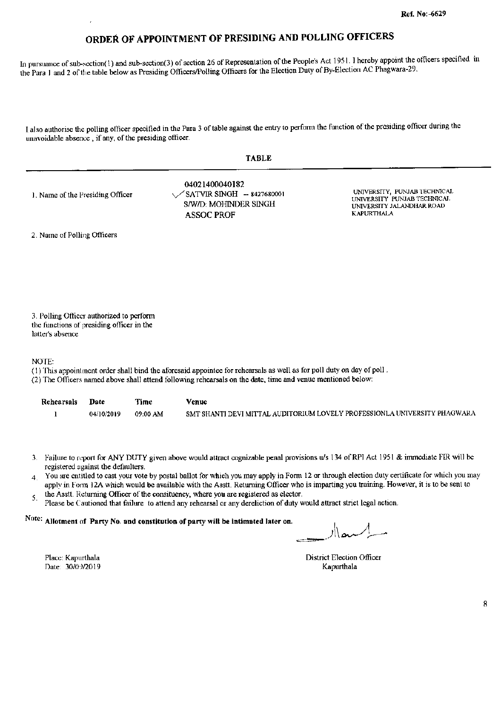In pursuance of sub-section(1) and sub-section(3) of section 26 of Representation of the People's Act 1951. I hereby appoint the officers specified in the Para 1 and 2 of the table below as Presiding Officers/Polling Officers for the Election Duty of By-Election AC Phagwara-29.

I also authorise the polling officer specified in the Para 3 of table against the entry to perform the function of the presiding officer during the unavoidable absence, if any, of the presiding officer.

| __ | -- |
|----|----|
|----|----|

| 1. Name of the Presiding Officer | 04021400040182<br>$\sqrt{\text{SATVIR SINGH}}$ - 8427680001<br>S/W/D: MOHINDER SINGH<br>ASSOC PROF | UNIVERSITY, PUNJAB TECHNICAL<br>UNIVERSITY PUNJAB TECHNICAL<br>UNIVERSITY JALANDHAR ROAD<br>KAPURTHALA |
|----------------------------------|----------------------------------------------------------------------------------------------------|--------------------------------------------------------------------------------------------------------|
|----------------------------------|----------------------------------------------------------------------------------------------------|--------------------------------------------------------------------------------------------------------|

2. Name of Polling Officers

3. Polling Officer authorized to perform the functions of presiding officer in the latter's absence

NOTE:

- (1) This appointment order shall bind the aforesaid appointee for rehearsals as well as for poll duty on day of poll.
- (2) The Officers named above shall attend following rehearsals on the date, time and venue mentioned below:

| Rehearsals | Date       | Time     | Venue                                                                     |
|------------|------------|----------|---------------------------------------------------------------------------|
|            | 04/10/2019 | 09:00 AM | SMT SHANTI DEVI MITTAL AUDITORIUM LOVELY PROFESSIONLA UNIVERSITY PHAGWARA |

- 3. Failure to report for ANY DUTY given above would attract cognizable penal provisions u/s 134 of RPI Act 1951 & immediate FIR will be registered against the defaulters.
- You are entitled to cast your vote by postal ballot for which you may apply in Form 12 or through election duty certificate for which you may  $\overline{4}$ . apply in Form 12A which would be available with the Asstt. Returning Officer who is imparting you training. However, it is to be sent to
- the Asstt. Returning Officer of the consituency, where you are registered as elector. 5.
- Please be Cautioned that failure to attend any rehearsal or any dereliction of duty would attract strict legal action.

Note: Allotment of Party No. and constitution of party will be intimated later on.

 $\frac{1}{2}$ 

Place: Kapurthala Date: 30/09/2019 District Election Officer Kapurthala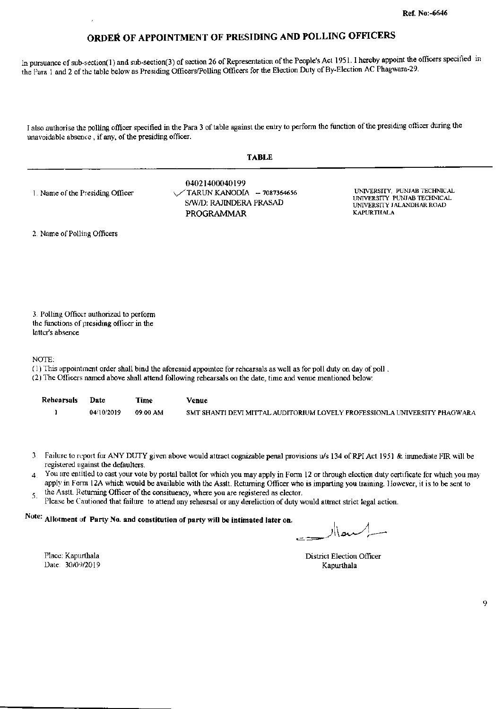In pursuance of sub-section(1) and sub-section(3) of section 26 of Representation of the People's Act 1951. I hereby appoint the officers specified in the Para 1 and 2 of the table below as Presiding Officers/Polling Officers for the Election Duty of By-Election AC Phagwara-29.

I also authorise the polling officer specified in the Para 3 of table against the entry to perform the function of the presiding officer during the unavoidable absence, if any, of the presiding officer.

| 1. Name of the Presiding Officer | 04021400040199<br>$\sqrt{14}$ TARUN KANODIA - 7087364656<br>S/W/D: RAJINDERA PRASAD<br>PROGRAMMAR | UNIVERSITY, PUNJAB TECHNICAL<br>UNIVERSITY PUNJAB TECHNICAL<br><b>UNIVERSITY JALANDHAR ROAD</b><br><b>KAPURTHALA</b> |
|----------------------------------|---------------------------------------------------------------------------------------------------|----------------------------------------------------------------------------------------------------------------------|
|----------------------------------|---------------------------------------------------------------------------------------------------|----------------------------------------------------------------------------------------------------------------------|

2. Name of Polling Officers

3. Polling Officer authorized to perform the functions of presiding officer in the latter's absence

NOTE:

- (1) This appointment order shall bind the aforesaid appointee for rehearsals as well as for poll duty on day of poll.
- (2) The Officers named above shall attend following rehearsals on the date, time and venue mentioned below:

| Rehearsals | <b>Date</b> | Time     | Venue                                                                     |
|------------|-------------|----------|---------------------------------------------------------------------------|
|            | 04/10/2019  | 09:00 AM | SMT SHANTI DEVI MITTAL AUDITORIUM LOVELY PROFESSIONLA UNIVERSITY PHAGWARA |

- 3. Failure to report for ANY DUTY given above would attract cognizable penal provisions u/s 134 of RPI Act 1951 & immediate FIR will be registered against the defaulters.
- You are entitled to cast your vote by postal ballot for which you may apply in Form 12 or through election duty certificate for which you may  $\overline{4}$ apply in Form 12A which would be available with the Asstt. Returning Officer who is imparting you training. However, it is to be sent to
- the Asstt. Returning Officer of the consituency, where you are registered as elector. 5.
- Please be Cautioned that failure to attend any rehearsal or any dereliction of duty would attract strict legal action.

# Note: Allotment of Party No. and constitution of party will be intimated later on.

Place: Kapurthala Date: 30/09/2019

District Election Officer Kapurthala

9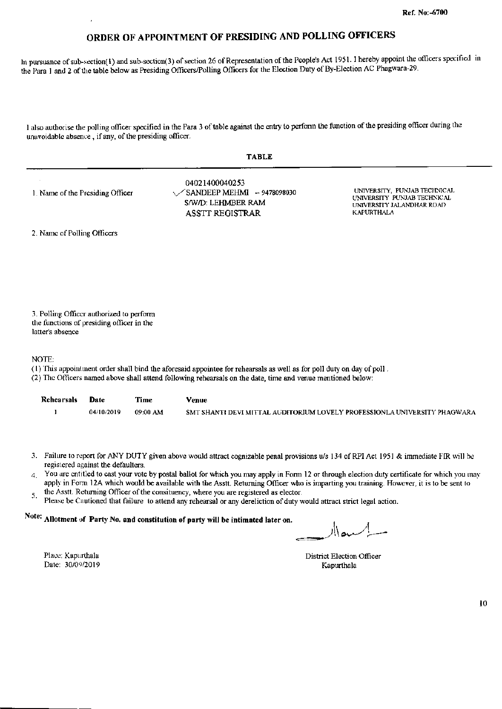In pursuance of sub-section(1) and sub-section(3) of section 26 of Representation of the People's Act 1951. I hereby appoint the officers specified in the Para 1 and 2 of the table below as Presiding Officers/Polling Officers for the Election Duty of By-Election AC Phagwara-29.

I also authorise the polling officer specified in the Para 3 of table against the entry to perform the function of the presiding officer during the unavoidable absence, if any, of the presiding officer.

| 1. Name of the Presiding Officer | 04021400040253<br>$\sqrt{\text{SANDEEP MEHM}}$ - 9478098030<br>S/W/D: LEHMBER RAM<br><b>ASSTT REGISTRAR</b> | UNIVERSITY. PUNJAB TECHNICAL<br>UNIVERSITY PUNJAB TECHNICAL<br>UNIVERSITY JALANDHAR ROAD<br>KAPURTHALA |
|----------------------------------|-------------------------------------------------------------------------------------------------------------|--------------------------------------------------------------------------------------------------------|
|----------------------------------|-------------------------------------------------------------------------------------------------------------|--------------------------------------------------------------------------------------------------------|

2. Name of Polling Officers

3. Polling Officer authorized to perform the functions of presiding officer in the latter's absence

NOTE:

- (1) This appointment order shall bind the aforesaid appointee for rehearsals as well as for poll duty on day of poll.
- (2) The Officers named above shall attend following rehearsals on the date, time and venue mentioned below:

| <b>Rehearsals</b> | Date       | Time     | Venue                                                                     |
|-------------------|------------|----------|---------------------------------------------------------------------------|
|                   | 04/10/2019 | 09:00 AM | SMT SHANTI DEVI MITTAL AUDITORIUM LOVELY PROFESSIONLA UNIVERSITY PHAGWARA |

- 3. Failure to report for ANY DUTY given above would attract cognizable penal provisions u/s 134 of RPI Act 1951 & immediate FIR will be registered against the defaulters.
- You are entitled to cast your vote by postal ballot for which you may apply in Form 12 or through election duty certificate for which you may  $\overline{4}$ . apply in Form 12A which would be available with the Asstt. Returning Officer who is imparting you training. However, it is to be sent to
- the Asstt. Returning Officer of the consituency, where you are registered as elector. 5.
- Please be Cautioned that failure to attend any rehearsal or any dereliction of duty would attract strict legal action.

# Note: Allotment of Party No. and constitution of party will be intimated later on.

ہ اار

Place: Kapurthala Date: 30/09/2019

**District Election Officer** Kapurthala

10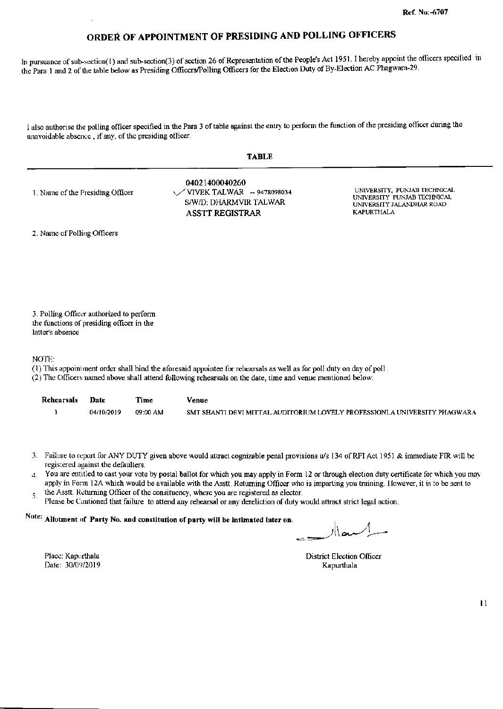In pursuance of sub-section(1) and sub-section(3) of section 26 of Representation of the People's Act 1951. I hereby appoint the officers specified in the Para 1 and 2 of the table below as Presiding Officers/Polling Officers for the Election Duty of By-Election AC Phagwara-29.

I also authorise the polling officer specified in the Para 3 of table against the entry to perform the function of the presiding officer during the unavoidable absence, if any, of the presiding officer.

#### **TABLE**

04021400040260 UNIVERSITY. PUNJAB TECHNICAL 1. Name of the Presiding Officer VIVEK TALWAR -- 9478098034 UNIVERSITY PUNJAB TECHNICAL S/W/D: DHARMVIR TALWAR UNIVERSITY JALANDHAR ROAD **ASSTT REGISTRAR KAPURTHALA** 

2. Name of Polling Officers

3. Polling Officer authorized to perform the functions of presiding officer in the latter's absence

NOTE:

- (1) This appointment order shall bind the aforesaid appointee for rehearsals as well as for poll duty on day of poll.
- (2) The Officers named above shall attend following rehearsals on the date, time and venue mentioned below:

| Rehearsals | Date       | Time     | Venue                                                                     |
|------------|------------|----------|---------------------------------------------------------------------------|
|            | 04/10/2019 | 09:00 AM | SMT SHANTI DEVI MITTAL AUDITORIUM LOVELY PROFESSIONLA UNIVERSITY PHAGWARA |

- 3. Failure to report for ANY DUTY given above would attract cognizable penal provisions u/s 134 of RPI Act 1951 & immediate FIR will be registered against the defaulters.
- You are entitled to cast your vote by postal ballot for which you may apply in Form 12 or through election duty certificate for which you may  $\overline{4}$ apply in Form 12A which would be available with the Asstt. Returning Officer who is imparting you training. However, it is to be sent to
- the Asstt. Returning Officer of the consituency, where you are registered as elector. 5.
- Please be Cautioned that failure to attend any rehearsal or any dereliction of duty would attract strict legal action.

# Note: Allotment of Party No. and constitution of party will be intimated later on.

Place: Kapurthala Date: 30/09/2019

**District Election Officer** Kapurthala

 $\mathbf{11}$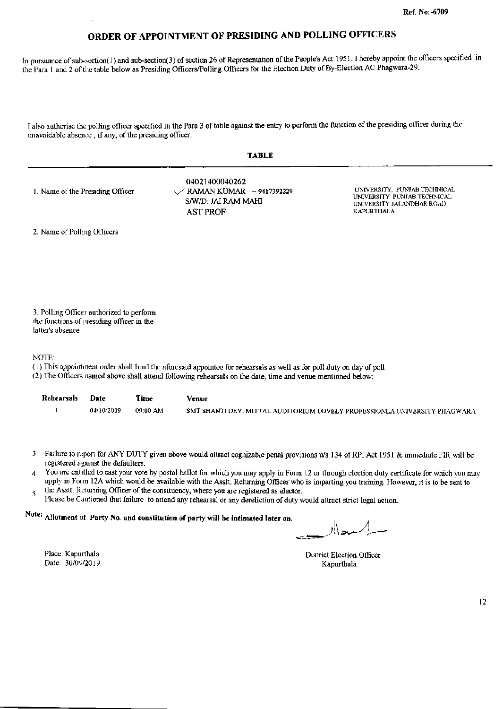In pursuance of sub-section(1) and sub-section(3) of section 26 of Representation of the People's Act 1951. I hereby appoint the officers specified in the Para 1 and 2 of the table below as Presiding Officers/Polling Officers for the Election Duty of By-Election AC Phagwara-29.

I also authorise the polling officer specified in the Para 3 of table against the entry to perform the function of the presiding officer during the unavoidable absence, if any, of the presiding officer.

| 1. Name of the Presiding Officer | 04021400040262<br>$\sqrt{R}$ AMAN KUMAR - 9417392229<br>S/W/D: JAI RAM MAHI<br><b>AST PROF</b> | UNIVERSITY, PUNJAB TECHNICAL<br>UNIVERSITY PUNJAB TECHNICAL<br>UNIVERSITY JALANDHAR ROAD<br><b>KAPURTHALA</b> |
|----------------------------------|------------------------------------------------------------------------------------------------|---------------------------------------------------------------------------------------------------------------|
|----------------------------------|------------------------------------------------------------------------------------------------|---------------------------------------------------------------------------------------------------------------|

**TABLE** 

2. Name of Polling Officers

3. Polling Officer authorized to perform the functions of presiding officer in the latter's absence

NOTE:

- (1) This appointment order shall bind the aforesaid appointee for rehearsals as well as for poll duty on day of poll.
- (2) The Officers named above shall attend following rehearsals on the date, time and venue mentioned below:

| Rehearsals | Date       | Time     | Venue                                                                     |
|------------|------------|----------|---------------------------------------------------------------------------|
|            | 04/10/2019 | 09:00 AM | SMT SHANTI DEVI MITTAL AUDITORIUM LOVELY PROFESSIONLA UNIVERSITY PHAGWARA |

- 3. Failure to report for ANY DUTY given above would attract cognizable penal provisions u/s 134 of RPI Act 1951 & immediate FIR will be registered against the defaulters.
- You are entitled to cast your vote by postal ballot for which you may apply in Form 12 or through election duty certificate for which you may  $\overline{4}$ apply in Form 12A which would be available with the Assti. Returning Officer who is imparting you training. However, it is to be sent to the Asstt. Returning Officer of the consituency, where you are registered as elector.
- 5
- Please be Cautioned that failure to attend any rehearsal or any dereliction of duty would attract strict legal action.

# Note: Allotment of Party No. and constitution of party will be intimated later on.

حيم ال

District Election Officer Kapurthala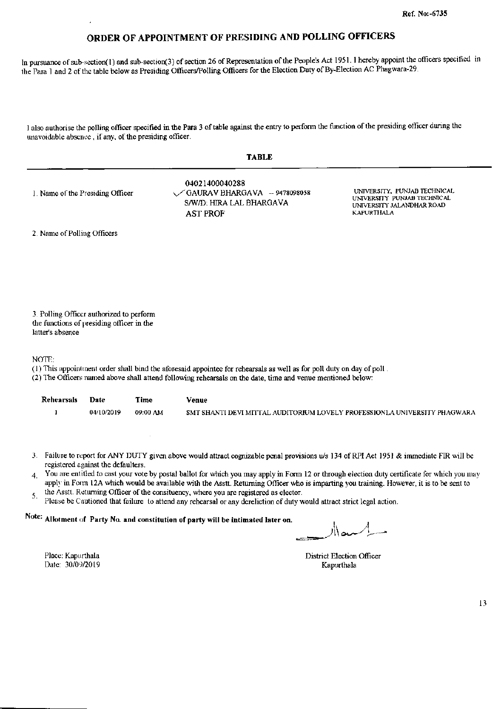In pursuance of sub-section(1) and sub-section(3) of section 26 of Representation of the People's Act 1951. I hereby appoint the officers specified in the Para 1 and 2 of the table below as Presiding Officers/Polling Officers for the Election Duty of By-Election AC Phagwara-29.

I also authorise the polling officer specified in the Para 3 of table against the entry to perform the function of the presiding officer during the unavoidable absence, if any, of the presiding officer.

|                                  | <b>TABLE</b>                                                                                           |                                                                                                                |
|----------------------------------|--------------------------------------------------------------------------------------------------------|----------------------------------------------------------------------------------------------------------------|
| 1. Name of the Presiding Officer | 04021400040288<br>$\sqrt{GAVRAV}$ BHARGAVA - 9478098058<br>S/W/D: HIRA LAL BHARGAVA<br><b>AST PROF</b> | UNIVERSITY, PUNJAB TECHNICAL.<br>UNIVERSITY PUNJAB TECHNICAL<br>UNIVERSITY JALANDHAR ROAD<br><b>KAPURTHALA</b> |
| 2. Name of Polling Officers      |                                                                                                        |                                                                                                                |

3. Polling Officer authorized to perform the functions of presiding officer in the latter's absence

NOTE:

- (1) This appointment order shall bind the aforesaid appointee for rehearsals as well as for poll duty on day of poll.
- (2) The Officers named above shall attend following rehearsals on the date, time and venue mentioned below:

| Rehearsals | <b>Date</b> | Time     | Venue                                                                     |
|------------|-------------|----------|---------------------------------------------------------------------------|
|            | 04/10/2019  | 09:00 AM | SMT SHANTI DEVI MITTAL AUDITORIUM LOVELY PROFESSIONLA UNIVERSITY PHAGWARA |

- 3. Failure to report for ANY DUTY given above would attract cognizable penal provisions u/s 134 of RPI Act 1951 & immediate FIR will be registered against the defaulters.
- You are entitled to cast your vote by postal ballot for which you may apply in Form 12 or through election duty certificate for which you may  $\overline{4}$ . apply in Form 12A which would be available with the Asstt. Returning Officer who is imparting you training. However, it is to be sent to
- the Asstt. Returning Officer of the consituency, where you are registered as elector. 5.
- Please be Cautioned that failure to attend any rehearsal or any dereliction of duty would attract strict legal action.

# Note: Allotment of Party No. and constitution of party will be intimated later on.

سماار

**District Election Officer** Kapurthala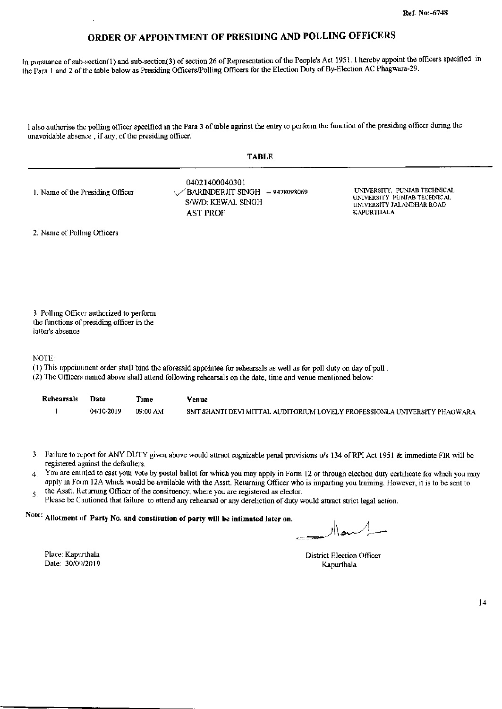In pursuance of sub-section(1) and sub-section(3) of section 26 of Representation of the People's Act 1951. I hereby appoint the officers specified in the Para 1 and 2 of the table below as Presiding Officers/Polling Officers for the Election Duty of By-Election AC Phagwara-29.

I also authorise the polling officer specified in the Para 3 of table against the entry to perform the function of the presiding officer during the unavoidable absence, if any, of the presiding officer.

**TABLE** 

| 1. Name of the Presiding Officer | 04021400040301<br>$\sqrt{\}$ BARINDERJIT SINGH - 9478098069<br>S/W/D: KEWAL SINGH<br><b>AST PROF</b> | UNIVERSITY, PUNJAB TECHNICAL<br>UNIVERSITY PUNJAB TECHNICAL<br>UNIVERSITY JALANDHAR ROAD<br><b>KAPURTHALA</b> |
|----------------------------------|------------------------------------------------------------------------------------------------------|---------------------------------------------------------------------------------------------------------------|
|                                  |                                                                                                      |                                                                                                               |

2. Name of Polling Officers

3. Polling Officer authorized to perform the functions of presiding officer in the latter's absence

NOTE:

- (1) This appointment order shall bind the aforesaid appointee for rehearsals as well as for poll duty on day of poll.
- (2) The Officers named above shall attend following rehearsals on the date, time and venue mentioned below:

| <b>Rehearsals</b> | Date       | Time     | Venue                                                                     |
|-------------------|------------|----------|---------------------------------------------------------------------------|
|                   | 04/10/2019 | 09:00 AM | SMT SHANTI DEVI MITTAL AUDITORIUM LOVELY PROFESSIONLA UNIVERSITY PHAGWARA |

- 3. Failure to report for ANY DUTY given above would attract cognizable penal provisions u/s 134 of RPI Act 1951 & immediate FIR will be registered against the defaulters.
- You are entitled to cast your vote by postal ballot for which you may apply in Form 12 or through election duty certificate for which you may  $\overline{4}$ apply in Form 12A which would be available with the Asstt. Returning Officer who is imparting you training. However, it is to be sent to
- the Asstt. Returning Officer of the consituency, where you are registered as elector. 5.
- Please be Cautioned that failure to attend any rehearsal or any dereliction of duty would attract strict legal action.

# Note: Allotment of Party No. and constitution of party will be intimated later on.

ے \ار

Place: Kapurthala Date: 30/09/2019

District Election Officer Kapurthala

 $14$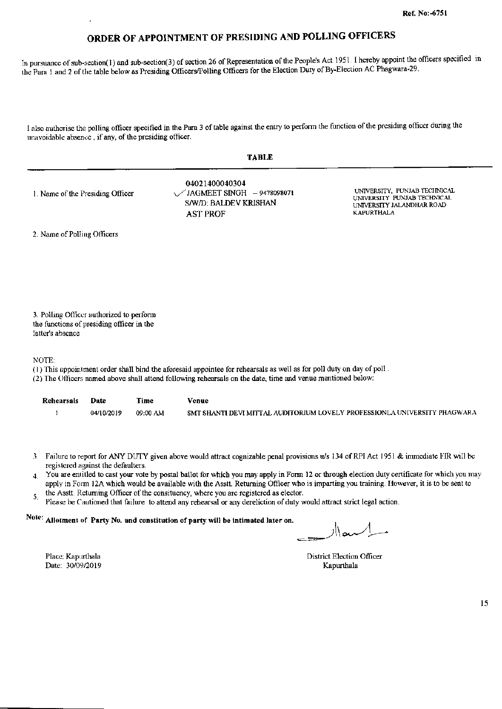In pursuance of sub-section(1) and sub-section(3) of section 26 of Representation of the People's Act 1951. I hereby appoint the officers specified in the Para 1 and 2 of the table below as Presiding Officers/Polling Officers for the Election Duty of By-Election AC Phagwara-29.

I also authorise the polling officer specified in the Para 3 of table against the entry to perform the function of the presiding officer during the unavoidable absence, if any, of the presiding officer.

04021400040304 UNIVERSITY, PUNJAB TECINICAL  $\angle$ JAGMEET SINGH - 9478098071 1. Name of the Presiding Officer UNIVERSITY PUNJAB TECHNICAL S/W/D: BALDEV KRISHAN UNIVERSITY JALANDHAR ROAD **KAPURTHALA AST PROF** 

2. Name of Polling Officers

3. Polling Officer authorized to perform the functions of presiding officer in the latter's absence

NOTE:

- (1) This appointment order shall bind the aforesaid appointee for rehearsals as well as for poll duty on day of poll.
- (2) The Officers named above shall attend following rehearsals on the date, time and venue mentioned below:

| <b>Rehearsals</b> | Date       | Time     | Venue                                                                     |
|-------------------|------------|----------|---------------------------------------------------------------------------|
|                   | 04/10/2019 | 09:00 AM | SMT SHANTI DEVI MITTAL AUDITORIUM LOVELY PROFESSIONLA UNIVERSITY PHAGWARA |

- 3. Failure to report for ANY DUTY given above would attract cognizable penal provisions u/s 134 of RPI Act 1951 & immediate FIR will be registered against the defaulters.
- 4 You are entitled to cast your vote by postal ballot for which you may apply in Form 12 or through election duty certificate for which you may apply in Form 12A which would be available with the Asstt. Returning Officer who is imparting you training. However, it is to be sent to
- the Asstt. Returning Officer of the consituency, where you are registered as elector. 5.
- Please be Cautioned that failure to attend any rehearsal or any dereliction of duty would attract strict legal action.

Note: Allotment of Party No. and constitution of party will be intimated later on.

معاار

**District Election Officer** Kapurthala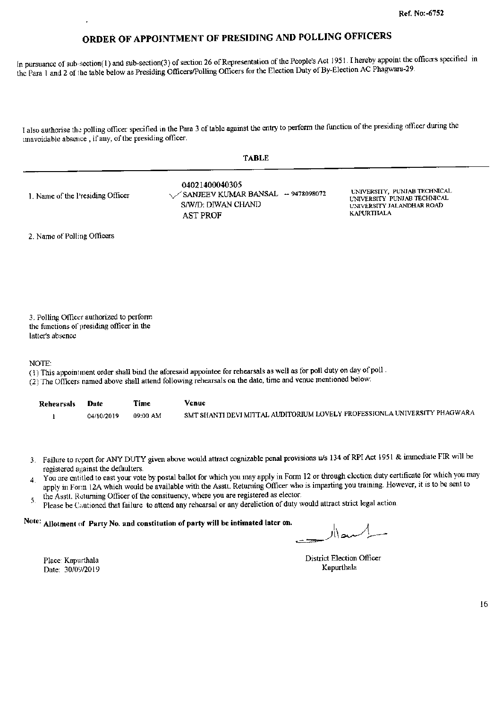In pursuance of sub-section(1) and sub-section(3) of section 26 of Representation of the People's Act 1951. I hereby appoint the officers specified in the Para 1 and 2 of the table below as Presiding Officers/Polling Officers for the Election Duty of By-Election AC Phagwara-29.

I also authorise the polling officer specified in the Para 3 of table against the entry to perform the function of the presiding officer during the unavoidable absence, if any, of the presiding officer.

| <b>TABLE</b>                     |                                                                                              |                                                                                                               |  |  |
|----------------------------------|----------------------------------------------------------------------------------------------|---------------------------------------------------------------------------------------------------------------|--|--|
| 1. Name of the Presiding Officer | 04021400040305<br>SANJEEV KUMAR BANSAL - 9478098072<br>S/W/D: DIWAN CHAND<br><b>AST PROF</b> | UNIVERSITY, PUNJAB TECHNICAL<br>UNIVERSITY PUNJAB TECHNICAL<br>UNIVERSITY JALANDHAR ROAD<br><b>KAPURTHALA</b> |  |  |
| 2. Name of Polling Officers      |                                                                                              |                                                                                                               |  |  |

3. Polling Officer authorized to perform the functions of presiding officer in the latter's absence

NOTE:

(1) This appointment order shall bind the aforesaid appointee for rehearsals as well as for poll duty on day of poll.

(2) The Officers named above shall attend following rehearsals on the date, time and venue mentioned below:

| <b>Rehearsals</b> | Date       | Time     | Venue                                                                     |
|-------------------|------------|----------|---------------------------------------------------------------------------|
|                   | 04/10/2019 | 09:00 AM | SMT SHANTI DEVI MITTAL AUDITORIUM LOVELY PROFESSIONLA UNIVERSITY PHAGWARA |

- 3. Failure to report for ANY DUTY given above would attract cognizable penal provisions u/s 134 of RPI Act 1951 & immediate FIR will be registered against the defaulters.
- You are cntitled to cast your vote by postal ballot for which you may apply in Form 12 or through election duty certificate for which you may  $\overline{4}$ apply in Form 12A which would be available with the Asstt. Returning Officer who is imparting you training. However, it is to be sent to
- the Asstt. Returning Officer of the consituency, where you are registered as elector. 5.
- Please be Cautioned that failure to attend any rehearsal or any dereliction of duty would attract strict legal action.

#### Note: Allotment of Party No. and constitution of party will be intimated later on.

منصلا

Place: Kapurthala Date: 30/09/2019 **District Election Officer** Kapurthala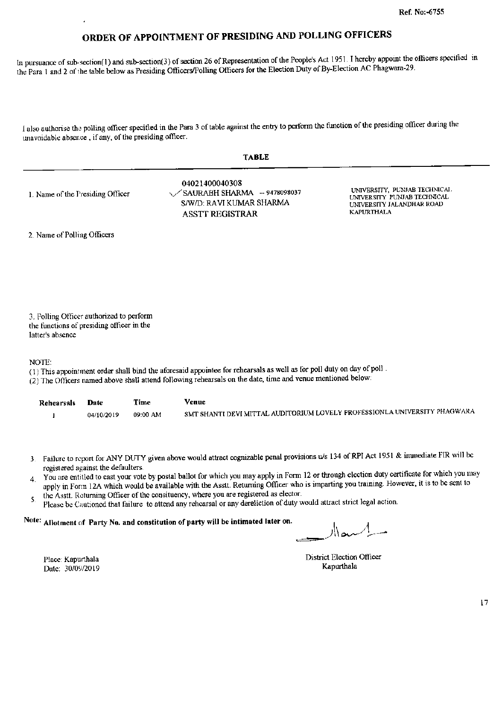In pursuance of sub-section(1) and sub-section(3) of section 26 of Representation of the People's Act 1951. I hereby appoint the officers specified in the Para 1 and 2 of the table below as Presiding Officers/Polling Officers for the Election Duty of By-Election AC Phagwara-29.

I also authorise the polling officer specified in the Para 3 of table against the entry to perform the function of the presiding officer during the unavoidable absence, if any, of the presiding officer.

| 1. Name of the Presiding Officer | 04021400040308<br>$\sqrt{\text{SAURABH SHARMA}}$ - 9478098037<br>S/W/D: RAVI KUMAR SHARMA<br><b>ASSTT REGISTRAR</b> | UNIVERSITY, PUNJAB TECHNICAL.<br>UNIVERSITY PUNJAB TECHNICAL<br>UNIVERSITY JALANDHAR ROAD<br>KAPURTHALA |
|----------------------------------|---------------------------------------------------------------------------------------------------------------------|---------------------------------------------------------------------------------------------------------|
|----------------------------------|---------------------------------------------------------------------------------------------------------------------|---------------------------------------------------------------------------------------------------------|

2. Name of Polling Officers

3. Polling Officer authorized to perform the functions of presiding officer in the latter's absence

NOTE:

- (1) This appointment order shall bind the aforesaid appointee for rehearsals as well as for poll duty on day of poll.
- (2) The Officers named above shall attend following rehearsals on the date, time and venue mentioned below:

| Rehearsals | Date       | Time     | Venue                                                                     |
|------------|------------|----------|---------------------------------------------------------------------------|
|            | 04/10/2019 | 09:00 AM | SMT SHANTI DEVI MITTAL AUDITORIUM LOVELY PROFESSIONLA UNIVERSITY PHAGWARA |

- 3. Failure to report for ANY DUTY given above would attract cognizable penal provisions u/s 134 of RPI Act 1951 & immediate FIR will be registered against the defaulters.
- You are entitled to cast your vote by postal ballot for which you may apply in Form 12 or through election duty certificate for which you may  $\overline{4}$ . apply in Form 12A which would be available with the Asstt. Returning Officer who is imparting you training. However, it is to be sent to
- the Asstt. Returning Officer of the consituency, where you are registered as elector. 5. Please be Cautioned that failure to attend any rehearsal or any dereliction of duty would attract strict legal action.

#### Note: Allotment of Party No. and constitution of party will be intimated later on.

Place: Kapurthala Date: 30/09/2019 District Election Officer Kapurthala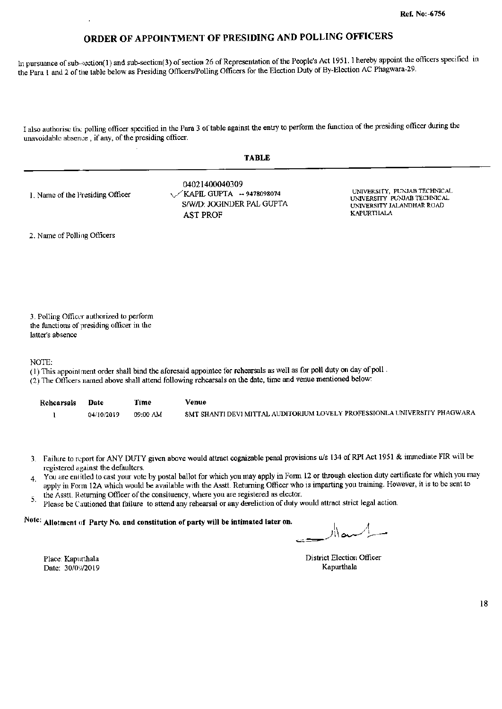In pursuance of sub-section(1) and sub-section(3) of section 26 of Representation of the People's Act 1951. I hereby appoint the officers specified in the Para 1 and 2 of the table below as Presiding Officers/Polling Officers for the Election Duty of By-Election AC Phagwara-29.

I also authorise the polling officer specified in the Para 3 of table against the entry to perform the function of the presiding officer during the unavoidable absence, if any, of the presiding officer.

| <b>TABLE</b>                     |                                                                                              |                                                                                                               |  |  |
|----------------------------------|----------------------------------------------------------------------------------------------|---------------------------------------------------------------------------------------------------------------|--|--|
| 1. Name of the Presiding Officer | 04021400040309<br>$\sqrt{KAPIL GUPTA}$ - 9478098074<br>S/W/D: JOGINDER PAL GUPTA<br>AST PROF | UNIVERSITY, PUNJAB TECHNICAL<br>UNIVERSITY PUNJAB TECHNICAL<br>UNIVERSITY JALANDHAR ROAD<br><b>KAPURTHALA</b> |  |  |
| 2. Name of Polling Officers      |                                                                                              |                                                                                                               |  |  |

3. Polling Officer authorized to perform the functions of presiding officer in the latter's absence

NOTE:

- (1) This appointment order shall bind the aforesaid appointee for rehearsals as well as for poll duty on day of poll.
- (2) The Officers named above shall attend following rehearsals on the date, time and venue mentioned below:

| Rehearsals | Date       | Time     | Venue                                                                     |
|------------|------------|----------|---------------------------------------------------------------------------|
|            | 04/10/2019 | 09:00 AM | SMT SHANTI DEVI MITTAL AUDITORIUM LOVELY PROFESSIONLA UNIVERSITY PHAGWARA |

- 3. Failure to report for ANY DUTY given above would attract cognizable penal provisions u/s 134 of RPI Act 1951 & immediate FIR will be registered against the defaulters.
- You are entitled to cast your vote by postal ballot for which you may apply in Form 12 or through election duty certificate for which you may  $\mathbf{A}$ apply in Form 12A which would be available with the Asstt. Returning Officer who is imparting you training. However, it is to be sent to
- the Asstt. Returning Officer of the consituency, where you are registered as elector. 5.
- Please be Cautioned that failure to attend any rehearsal or any dereliction of duty would attract strict legal action.

#### Note: Allotment of Party No. and constitution of party will be intimated later on.

يم\¦ر

District Election Officer Kapurthala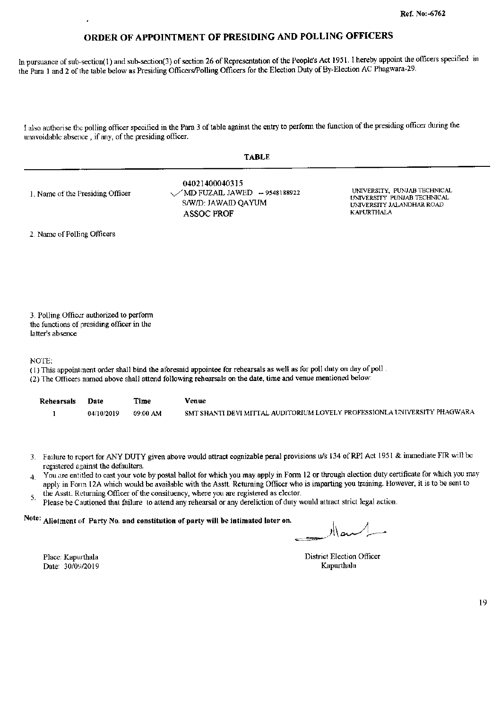In pursuance of sub-section(1) and sub-section(3) of section 26 of Representation of the People's Act 1951. I hereby appoint the officers specified in the Para 1 and 2 of the table below as Presiding Officers/Polling Officers for the Election Duty of By-Election AC Phagwara-29.

I also authorise the polling officer specified in the Para 3 of table against the entry to perform the function of the presiding officer during the unavoidable absence, if any, of the presiding officer.

|--|--|--|

| 1. Name of the Presiding Officer | 04021400040315<br>$\sqrt{\rm MD}$ FUZAIL JAWED $-$ 9548188922<br>S/W/D: JAWAID QAYUM<br>ASSOC PROF | UNIVERSITY, PUNJAB TECHNICAL<br>UNIVERSITY PUNJAB TECHNICAL<br>UNIVERSITY JALANDHAR ROAD<br><b>KAPURTHALA</b> |
|----------------------------------|----------------------------------------------------------------------------------------------------|---------------------------------------------------------------------------------------------------------------|
|----------------------------------|----------------------------------------------------------------------------------------------------|---------------------------------------------------------------------------------------------------------------|

2. Name of Polling Officers

3. Polling Officer authorized to perform the functions of presiding officer in the latter's absence

**NOTE:** 

- (1) This appointment order shall bind the aforesaid appointee for rehearsals as well as for poll duty on day of poll.
- (2) The Officers named above shall attend following rehearsals on the date, time and venue mentioned below:

| Rehearsals | Date       | Time     | Venue                                                                     |
|------------|------------|----------|---------------------------------------------------------------------------|
|            | 04/10/2019 | 09:00 AM | SMT SHANTI DEVI MITTAL AUDITORIUM LOVELY PROFESSIONLA UNIVERSITY PHAGWARA |

- 3. Failure to report for ANY DUTY given above would attract cognizable penal provisions u/s 134 of RPI Act 1951 & immediate FIR will be registered against the defaulters.
- You are entitled to cast your vote by postal ballot for which you may apply in Form 12 or through election duty certificate for which you may 4 apply in Form 12A which would be available with the Asstt. Returning Officer who is imparting you training. However, it is to be sent to
- the Asstt. Returning Officer of the consituency, where you are registered as elector. 5.
- Please be Cautioned that failure to attend any rehearsal or any dereliction of duty would attract strict legal action.

Note: Allotment of Party No. and constitution of party will be intimated later on.

District Election Officer Kapurthala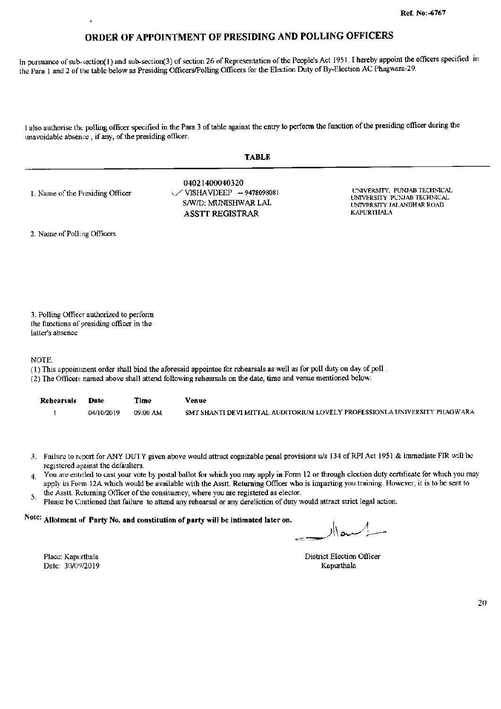In pursuance of sub-section(1) and sub-section(3) of section 26 of Representation of the People's Act 1951. I hereby appoint the officers specified in the Para 1 and 2 of the table below as Presiding Officers/Polling Officers for the Election Duty of By-Election AC Phagwara-29.

I also authorise the polling officer specified in the Para 3 of table against the entry to perform the function of the presiding officer during the unavoidable absence, if any, of the presiding officer.

| a<br>. . |  |
|----------|--|
|----------|--|

04021400040320 UNIVERSITY, PUNJAB TECHNICAL VISHAVDEEP -- 9478098081 1. Name of the Presiding Officer UNIVERSITY PUNJAB TECHNICAL S/W/D: MUNISHWAR LAL UNIVERSITY JALANDHAR ROAD **KAPURTHALA ASSTT REGISTRAR** 

2. Name of Polling Officers

3. Polling Officer authorized to perform the functions of presiding officer in the latter's absence

NOTE:

- (1) This appointment order shall bind the aforesaid appointee for rehearsals as well as for poll duty on day of poll.
- (2) The Officers named above shall attend following rehearsals on the date, time and venue mentioned below:

| <b>Rehearsals</b> | Date       | Time     | Venue                                                                     |
|-------------------|------------|----------|---------------------------------------------------------------------------|
|                   | 04/10/2019 | 09:00 AM | SMT SHANTI DEVI MITTAL AUDITORIUM LOVELY PROFESSIONLA UNIVERSITY PHAGWARA |

- 3. Failure to report for ANY DUTY given above would attract cognizable penal provisions u/s 134 of RPI Act 1951 & immediate FIR will be registered against the defaulters.
- You are entitled to cast your vote by postal ballot for which you may apply in Form 12 or through election duty certificate for which you may  $\overline{4}$ apply in Form 12A which would be available with the Asstt. Returning Officer who is imparting you training. However, it is to be sent to
- the Asstt. Returning Officer of the consituency, where you are registered as elector. 5.
- Please be Cautioned that failure to attend any rehearsal or any dereliction of duty would attract strict legal action.

## Note: Allotment of Party No. and constitution of party will be intimated later on.

 $\frac{1}{2}$ 

District Election Officer Kapurthala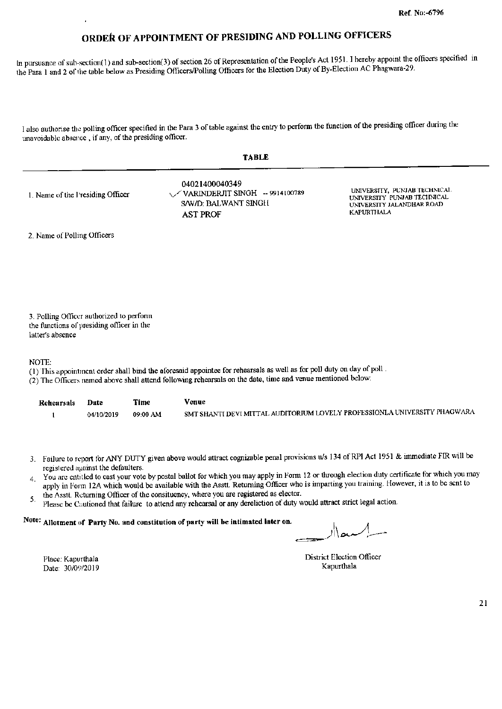In pursuance of sub-section(1) and sub-section(3) of section 26 of Representation of the People's Act 1951. I hereby appoint the officers specified in the Para 1 and 2 of the table below as Presiding Officers/Polling Officers for the Election Duty of By-Election AC Phagwara-29.

I also authorise the polling officer specified in the Para 3 of table against the entry to perform the function of the presiding officer during the unavoidable absence, if any, of the presiding officer.

| <b>TABLE</b>                     |                                                                                                      |                                                                                                               |  |  |
|----------------------------------|------------------------------------------------------------------------------------------------------|---------------------------------------------------------------------------------------------------------------|--|--|
| 1. Name of the Presiding Officer | 04021400040349<br>$\sqrt{VARINDERJIT SINGH}$ - 9914100789<br>S/W/D: BALWANT SINGH<br><b>AST PROF</b> | UNIVERSITY, PUNJAB TECHNICAL<br>UNIVERSITY PUNJAB TECHNICAL<br>UNIVERSITY JALANDHAR ROAD<br><b>KAPURTHALA</b> |  |  |
| 2. Name of Polling Officers      |                                                                                                      |                                                                                                               |  |  |

3. Polling Officer authorized to perform the functions of presiding officer in the latter's absence

NOTE:

- (1) This appointment order shall bind the aforesaid appointee for rehearsals as well as for poll duty on day of poll.
- (2) The Officers named above shall attend following rehearsals on the date, time and venue mentioned below:

| Rehearsals | Date       | Time     | Venue                                                                     |
|------------|------------|----------|---------------------------------------------------------------------------|
|            | 04/10/2019 | 09:00 AM | SMT SHANTI DEVI MITTAL AUDITORIUM LOVELY PROFESSIONLA UNIVERSITY PHAGWARA |

- 3. Failure to report for ANY DUTY given above would attract cognizable penal provisions u/s 134 of RPI Act 1951 & immediate FIR will be registered against the defaulters.
- You are entitled to cast your vote by postal ballot for which you may apply in Form 12 or through election duty certificate for which you may  $\overline{4}$ apply in Form 12A which would be available with the Assti. Returning Officer who is imparting you training. However, it is to be sent to
- the Asstt. Returning Officer of the consituency, where you are registered as elector. 5.
- Please be Cautioned that failure to attend any rehearsal or any dereliction of duty would attract strict legal action.

Note: Allotment of Party No. and constitution of party will be intimated later on.

District Election Officer Kapurthala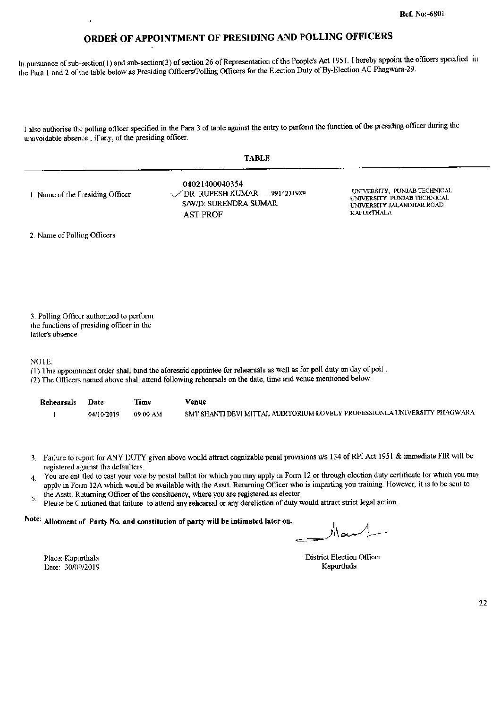In pursuance of sub-section(1) and sub-section(3) of section 26 of Representation of the People's Act 1951. I hereby appoint the officers specified in the Para 1 and 2 of the table below as Presiding Officers/Polling Officers for the Election Duty of By-Election AC Phagwara-29.

I also authorise the polling officer specified in the Para 3 of table against the entry to perform the function of the presiding officer during the unavoidable absence, if any, of the presiding officer.

|--|--|

| 1. Name of the Presiding Officer | 04021400040354<br>$\sqrt{DR}$ RUPESH KUMAR - 9914231989<br>S/W/D: SURENDRA SUMAR<br>AST PROF | UNIVERSITY, PUNJAB TECHNICAL<br>UNIVERSITY PUNJAB TECHNICAL<br>UNIVERSITY JALANDHAR ROAD<br><b>KAPURTHALA</b> |
|----------------------------------|----------------------------------------------------------------------------------------------|---------------------------------------------------------------------------------------------------------------|
|----------------------------------|----------------------------------------------------------------------------------------------|---------------------------------------------------------------------------------------------------------------|

2. Name of Polling Officers

3. Polling Officer authorized to perform the functions of presiding officer in the latter's absence

NOTE:

- (1) This appointment order shall bind the aforesaid appointee for rehearsals as well as for poll duty on day of poll.
- (2) The Officers named above shall attend following rehearsals on the date, time and venue mentioned below:

| Rehearsals | Date       | Time     | Venue                                                                     |
|------------|------------|----------|---------------------------------------------------------------------------|
|            | 04/10/2019 | 09:00 AM | SMT SHANTI DEVI MITTAL AUDITORIUM LOVELY PROFESSIONLA UNIVERSITY PHAGWARA |

- 3. Failure to report for ANY DUTY given above would attract cognizable penal provisions u/s 134 of RPI Act 1951 & immediate FIR will be registered against the defaulters.
- You are entitled to cast your vote by postal ballot for which you may apply in Form 12 or through election duty certificate for which you may  $\overline{4}$ apply in Form 12A which would be available with the Asstt. Returning Officer who is imparting you training. However, it is to be sent to the Asstt. Returning Officer of the consituency, where you are registered as elector.
- 5. Please be Cautioned that failure to attend any rehearsal or any dereliction of duty would attract strict legal action.

### Note: Allotment of Party No. and constitution of party will be intimated later on.

District Election Officer Kapurthala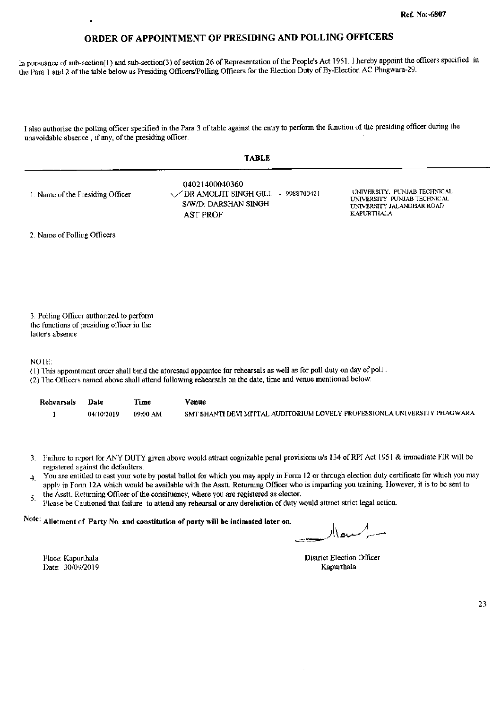In pursuance of sub-section(1) and sub-section(3) of section 26 of Representation of the People's Act 1951. I hereby appoint the officers specified in the Para 1 and 2 of the table below as Presiding Officers/Polling Officers for the Election Duty of By-Election AC Phagwara-29.

I also authorise the polling officer specified in the Para 3 of table against the entry to perform the function of the presiding officer during the unavoidable absence, if any, of the presiding officer.

|                                  | <b>TABLE</b>                                                                                              |                                                                                                        |
|----------------------------------|-----------------------------------------------------------------------------------------------------------|--------------------------------------------------------------------------------------------------------|
| 1. Name of the Presiding Officer | 04021400040360<br>$\sqrt{DR}$ AMOLJIT SINGH GILL $-9988700421$<br>S/W/D: DARSHAN SINGH<br><b>AST PROF</b> | UNIVERSITY, PUNJAB TECHNICAL<br>UNIVERSITY PUNJAB TECHNICAL<br>UNIVERSITY JALANDHAR ROAD<br>KAPURTHALA |
| 2. Name of Polling Officers      |                                                                                                           |                                                                                                        |

3. Polling Officer authorized to perform the functions of presiding officer in the latter's absence

NOTE:

- (1) This appointment order shall bind the aforesaid appointee for rehearsals as well as for poll duty on day of poll.
- (2) The Officers named above shall attend following rehearsals on the date, time and venue mentioned below:

| Rehearsals | Date       | Time     | Venue                                                                     |
|------------|------------|----------|---------------------------------------------------------------------------|
|            | 04/10/2019 | 09:00 AM | SMT SHANTI DEVI MITTAL AUDITORIUM LOVELY PROFESSIONLA UNIVERSITY PHAGWARA |

- 3. Failure to report for ANY DUTY given above would attract cognizable penal provisions u/s 134 of RPI Act 1951 & immediate FIR will be registered against the defaulters.
- You are entitled to cast your vote by postal ballot for which you may apply in Form 12 or through election duty certificate for which you may  $\overline{4}$ . apply in Form 12A which would be available with the Asstt. Returning Officer who is imparting you training. However, it is to be sent to
- the Asstt. Returning Officer of the consituency, where you are registered as elector. 5.
- Please be Cautioned that failure to attend any rehearsal or any dereliction of duty would attract strict legal action.

Note: Allotment of Party No. and constitution of party will be intimated later on.

Place: Kapurthala Date: 30/09/2019

**District Election Officer** Kapurthala

23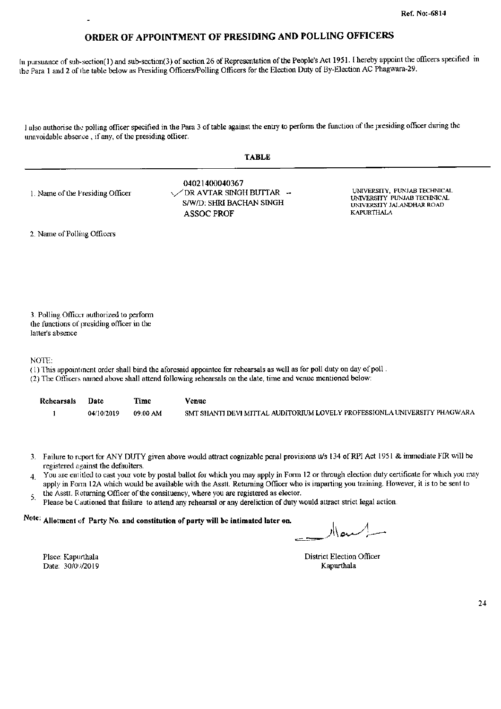In pursuance of sub-section(1) and sub-section(3) of section 26 of Representation of the People's Act 1951. I hereby appoint the officers specified in the Para 1 and 2 of the table below as Presiding Officers/Polling Officers for the Election Duty of By-Election AC Phagwara-29.

I also authorise the polling officer specified in the Para 3 of table against the entry to perform the function of the presiding officer during the unavoidable absence, if any, of the presiding officer.

|  | ٠<br>ш<br>. . |  |
|--|---------------|--|
|--|---------------|--|

| 1. Name of the Presiding Officer | 04021400040367<br>$\sqrt{D}R$ AVTAR SINGH BUTTAR $\rightarrow$<br>S/W/D: SHRI BACHAN SINGH<br>ASSOC PROF | UNIVERSITY, PUNJAB TECHNICAL<br>UNIVERSITY PUNJAB TECHNICAL<br>UNIVERSITY JALANDHAR ROAD<br>KAPURTHALA |
|----------------------------------|----------------------------------------------------------------------------------------------------------|--------------------------------------------------------------------------------------------------------|
|----------------------------------|----------------------------------------------------------------------------------------------------------|--------------------------------------------------------------------------------------------------------|

2. Name of Polling Officers

3. Polling Officer authorized to perform the functions of presiding officer in the latter's absence

NOTE:

- (1) This appointment order shall bind the aforesaid appointee for rehearsals as well as for poll duty on day of poll.
- (2) The Officers named above shall attend following rehearsals on the date, time and venue mentioned below:

| Rehearsals | Date       | Time     | Venue                                                                     |
|------------|------------|----------|---------------------------------------------------------------------------|
|            | 04/10/2019 | 09:00 AM | SMT SHANTI DEVI MITTAL AUDITORIUM LOVELY PROFESSIONLA UNIVERSITY PHAGWARA |

- 3. Failure to report for ANY DUTY given above would attract cognizable penal provisions u/s 134 of RPI Act 1951 & immediate FIR will be registered against the defaulters.
- You are entitled to cast your vote by postal ballot for which you may apply in Form 12 or through election duty certificate for which you may  $\overline{4}$ apply in Form 12A which would be available with the Asstt. Returning Officer who is imparting you training. However, it is to be sent to
- the Asstt. Returning Officer of the consituency, where you are registered as elector. 5.
- Please be Cautioned that failure to attend any rehearsal or any dereliction of duty would attract strict legal action.

## Note: Allotment of Party No. and constitution of party will be intimated later on.

District Election Officer Kapurthala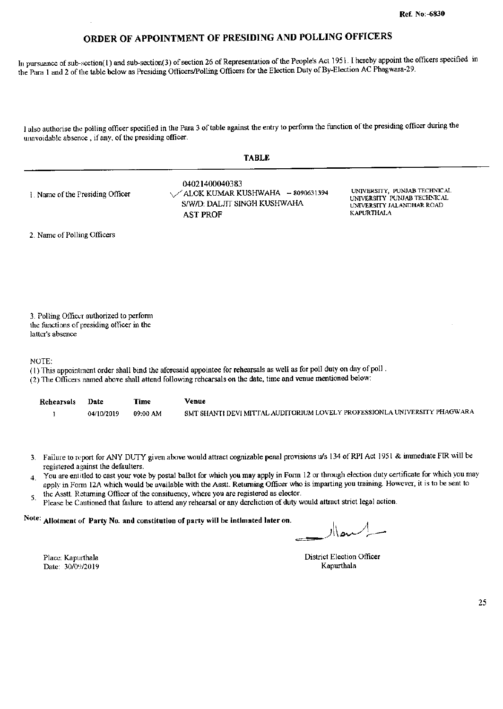In pursuance of sub-section(1) and sub-section(3) of section 26 of Representation of the People's Act 1951. I hereby appoint the officers specified in the Para 1 and 2 of the table below as Presiding Officers/Polling Officers for the Election Duty of By-Election AC Phagwara-29.

I also authorise the polling officer specified in the Para 3 of table against the entry to perform the function of the presiding officer during the unavoidable absence, if any, of the presiding officer.

|                                  | <b>TABLE</b>                                                                                           |                                                                                                        |
|----------------------------------|--------------------------------------------------------------------------------------------------------|--------------------------------------------------------------------------------------------------------|
| 1. Name of the Presiding Officer | 04021400040383<br>√ALOK KUMAR KUSHWAHA - 8090631394<br>S/W/D: DALJIT SINGH KUSHWAHA<br><b>AST PROF</b> | UNIVERSITY, PUNJAB TECHNICAL<br>UNIVERSITY PUNJAB TECHNICAL<br>UNIVERSITY JALANDHAR ROAD<br>KAPURTHALA |
| 2. Name of Polling Officers      |                                                                                                        |                                                                                                        |

3. Polling Officer authorized to perform the functions of presiding officer in the latter's absence

NOTE:

- (1) This appointment order shall bind the aforesaid appointee for rehearsals as well as for poll duty on day of poll.
- (2) The Officers named above shall attend following rehearsals on the date, time and venue mentioned below:

| Rehearsals | Date       | Time     | Venue                                                                     |
|------------|------------|----------|---------------------------------------------------------------------------|
|            | 04/10/2019 | 09:00 AM | SMT SHANTI DEVI MITTAL AUDITORIUM LOVELY PROFESSIONLA UNIVERSITY PHAGWARA |

- 3. Failure to report for ANY DUTY given above would attract cognizable penal provisions u/s 134 of RPI Act 1951 & immediate FIR will be registered against the defaulters.
- You are entitled to cast your vote by postal ballot for which you may apply in Form 12 or through election duty certificate for which you may  $\overline{4}$ apply in Form 12A which would be available with the Asstt. Returning Officer who is imparting you training. However, it is to be sent to
- the Asstt. Returning Officer of the consituency, where you are registered as elector. 5.
- Please be Cautioned that failure to attend any rehearsal or any dereliction of duty would attract strict legal action.

#### Note: Allotment of Party No. and constitution of party will be intimated later on.

الر

District Election Officer Kapurthala